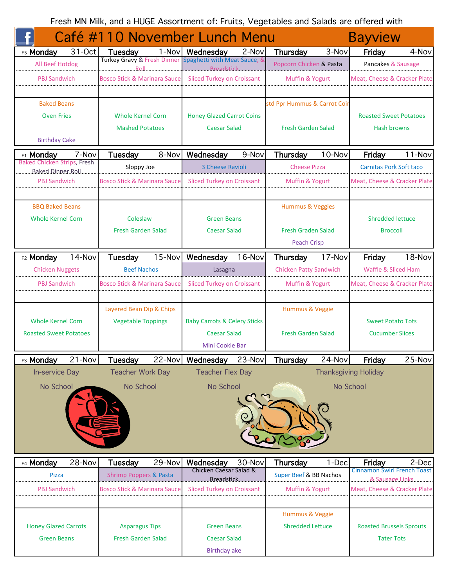Fresh MN Milk, and a HUGE Assortment of: Fruits, Vegetables and Salads are offered with

|                                                         |                    | Café #110 November Lunch Menu                      |        |                                                   |                            |                                            |                 | <b>Bayview</b>                     |                                |  |
|---------------------------------------------------------|--------------------|----------------------------------------------------|--------|---------------------------------------------------|----------------------------|--------------------------------------------|-----------------|------------------------------------|--------------------------------|--|
| F5 Monday                                               | 31-Oct             | <b>Tuesday</b>                                     |        | 1-Nov Wednesday                                   | 2-Nov                      | Thursday                                   | 3-Nov           | Friday                             | 4-Nov                          |  |
| All Beef Hotdog                                         |                    | <b>Turkey Gravy &amp; Fresh Dinner</b><br>Roll.    |        | Spaghetti with Meat Sauce, &<br><b>Breadstick</b> |                            | Popcorn Chicken & Pasta                    |                 |                                    | Pancakes & Sausage             |  |
| <b>PBJ Sandwich</b>                                     |                    | <b>Bosco Stick &amp; Marinara Sauce</b>            |        |                                                   | Sliced Turkey on Croissant |                                            | Muffin & Yogurt |                                    | Meat, Cheese & Cracker Plate   |  |
|                                                         |                    |                                                    |        |                                                   |                            |                                            |                 |                                    |                                |  |
| <b>Baked Beans</b>                                      |                    |                                                    |        |                                                   |                            | std Ppr Hummus & Carrot Coir               |                 |                                    |                                |  |
| <b>Oven Fries</b>                                       |                    | <b>Whole Kernel Corn</b>                           |        | <b>Honey Glazed Carrot Coins</b>                  |                            |                                            |                 |                                    | <b>Roasted Sweet Potatoes</b>  |  |
|                                                         |                    | <b>Mashed Potatoes</b>                             |        | <b>Caesar Salad</b>                               |                            | <b>Fresh Garden Salad</b>                  |                 | <b>Hash browns</b>                 |                                |  |
| <b>Birthday Cake</b>                                    |                    |                                                    |        |                                                   |                            |                                            |                 |                                    |                                |  |
| <b>F1 Monday</b>                                        | 7-Nov              | Tuesday                                            | 8-Nov  | Wednesday                                         | 9-Nov                      | Thursday                                   | 10-Nov          | Friday                             | 11-Nov                         |  |
| <b>Baked Chicken Strips, Fresh</b><br>Baked Dinner Roll |                    | Sloppy Joe                                         |        | 3 Cheese Ravioli                                  |                            | <b>Cheese Pizza</b>                        |                 |                                    | <b>Carnitas Pork Soft taco</b> |  |
| <b>PBJ Sandwich</b>                                     |                    | <b>Bosco Stick &amp; Marinara Sauce</b>            |        | <b>Sliced Turkey on Croissant</b>                 |                            | Muffin & Yogurt                            |                 | Meat, Cheese & Cracker Plate       |                                |  |
|                                                         |                    |                                                    |        |                                                   |                            |                                            |                 |                                    |                                |  |
| <b>BBQ Baked Beans</b>                                  |                    |                                                    |        |                                                   |                            | Hummus & Veggies                           |                 |                                    |                                |  |
| <b>Whole Kernel Corn</b>                                |                    | Coleslaw                                           |        | <b>Green Beans</b>                                |                            |                                            |                 | <b>Shredded lettuce</b>            |                                |  |
|                                                         |                    | <b>Fresh Garden Salad</b>                          |        | <b>Caesar Salad</b>                               |                            | <b>Fresh Graden Salad</b>                  |                 | <b>Broccoli</b>                    |                                |  |
|                                                         |                    |                                                    |        |                                                   |                            | <b>Peach Crisp</b>                         |                 |                                    |                                |  |
| F2 Monday                                               | 14-Nov             | Tuesday                                            | 15-Nov | Wednesday                                         | 16-Nov                     | Thursday                                   | 17-Nov          | Friday                             | 18-Nov                         |  |
| <b>Chicken Nuggets</b>                                  |                    | <b>Beef Nachos</b>                                 |        | Lasagna                                           |                            | <b>Chicken Patty Sandwich</b>              |                 |                                    | <b>Waffle &amp; Sliced Ham</b> |  |
| PBJ Sandwich                                            |                    | Bosco Stick & Marinara Sauce                       |        | <b>Sliced Turkey on Croissant</b>                 |                            | Muffin & Yogurt                            |                 | Meat, Cheese & Cracker Plate       |                                |  |
|                                                         |                    |                                                    |        |                                                   |                            |                                            |                 |                                    |                                |  |
|                                                         |                    | Layered Bean Dip & Chips                           |        |                                                   |                            | Hummus & Veggie                            |                 |                                    |                                |  |
| <b>Whole Kernel Corn</b>                                |                    | <b>Vegetable Toppings</b>                          |        | <b>Baby Carrots &amp; Celery Sticks</b>           |                            |                                            |                 |                                    | <b>Sweet Potato Tots</b>       |  |
| <b>Roasted Sweet Potatoes</b>                           |                    |                                                    |        | <b>Caesar Salad</b>                               |                            | <b>Fresh Garden Salad</b>                  |                 | <b>Cucumber Slices</b>             |                                |  |
|                                                         |                    |                                                    |        | Mini Cookie Bar                                   |                            |                                            |                 |                                    |                                |  |
| F3 Monday                                               | $21 - Nov$         | <b>Tuesday</b>                                     |        | 22-Nov Wednesday                                  | $23-Nov$                   | Thursday                                   | 24-Nov          | Friday                             | 25-Nov                         |  |
| In-service Day                                          |                    | <b>Teacher Work Day</b>                            |        | <b>Teacher Flex Day</b>                           |                            |                                            |                 | <b>Thanksgiving Holiday</b>        |                                |  |
| No School                                               |                    | No School                                          |        | No School                                         |                            |                                            |                 | No School                          |                                |  |
|                                                         |                    |                                                    |        |                                                   |                            |                                            |                 |                                    |                                |  |
|                                                         |                    |                                                    |        |                                                   |                            |                                            |                 |                                    |                                |  |
|                                                         |                    |                                                    |        |                                                   |                            |                                            |                 |                                    |                                |  |
|                                                         |                    |                                                    |        |                                                   |                            |                                            |                 |                                    |                                |  |
|                                                         |                    |                                                    |        |                                                   |                            |                                            |                 |                                    |                                |  |
| F4 Monday                                               | 28-Nov             | <b>Tuesday</b>                                     | 29-Nov | Wednesday                                         | 30-Nov                     | Thursday                                   | 1-Dec           | Friday                             | 2-Dec                          |  |
| Pizza                                                   |                    | <b>Shrimp Poppers &amp; Pasta</b>                  |        | Chicken Caesar Salad &                            |                            | Super Beef & BB Nachos                     |                 | <b>Cinnamon Swirl French Toast</b> |                                |  |
| <b>PBJ Sandwich</b>                                     |                    | <b>Bosco Stick &amp; Marinara Sauce</b>            |        | Breadstick<br><b>Sliced Turkey on Croissant</b>   |                            | Muffin & Yogurt                            |                 | Meat, Cheese & Cracker Plate       | 8. Sausage Links               |  |
|                                                         |                    |                                                    |        |                                                   |                            |                                            |                 |                                    |                                |  |
|                                                         |                    |                                                    |        |                                                   |                            |                                            |                 |                                    |                                |  |
|                                                         |                    |                                                    |        | <b>Green Beans</b>                                |                            | Hummus & Veggie<br><b>Shredded Lettuce</b> |                 | <b>Roasted Brussels Sprouts</b>    |                                |  |
| <b>Honey Glazed Carrots</b>                             |                    | <b>Asparagus Tips</b><br><b>Fresh Garden Salad</b> |        | <b>Caesar Salad</b>                               |                            |                                            |                 |                                    | <b>Tater Tots</b>              |  |
|                                                         | <b>Green Beans</b> |                                                    |        |                                                   |                            |                                            |                 |                                    |                                |  |
|                                                         |                    |                                                    |        | <b>Birthday ake</b>                               |                            |                                            |                 |                                    |                                |  |